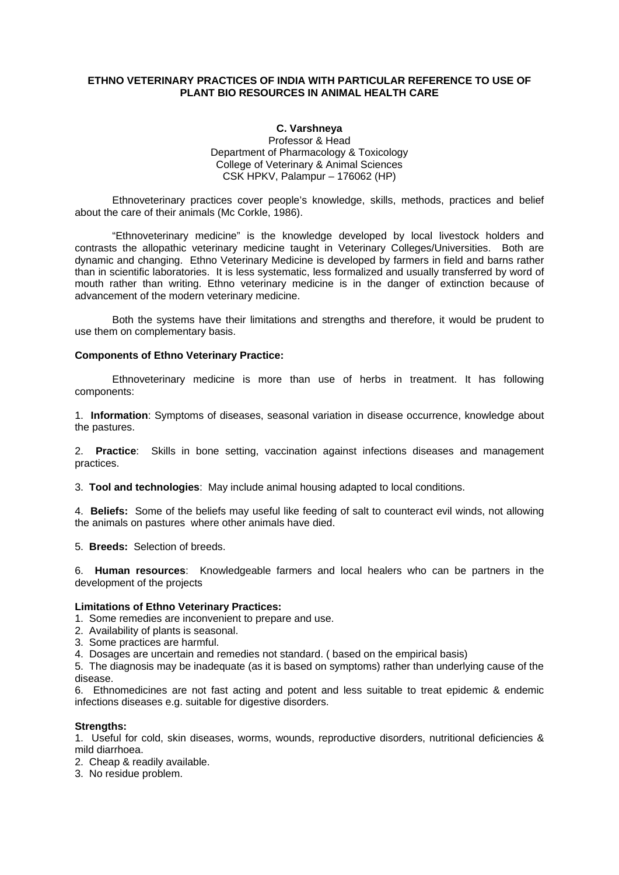### **ETHNO VETERINARY PRACTICES OF INDIA WITH PARTICULAR REFERENCE TO USE OF PLANT BIO RESOURCES IN ANIMAL HEALTH CARE**

#### **C. Varshneya**

Professor & Head Department of Pharmacology & Toxicology College of Veterinary & Animal Sciences CSK HPKV, Palampur – 176062 (HP)

Ethnoveterinary practices cover people's knowledge, skills, methods, practices and belief about the care of their animals (Mc Corkle, 1986).

"Ethnoveterinary medicine" is the knowledge developed by local livestock holders and contrasts the allopathic veterinary medicine taught in Veterinary Colleges/Universities. Both are dynamic and changing. Ethno Veterinary Medicine is developed by farmers in field and barns rather than in scientific laboratories. It is less systematic, less formalized and usually transferred by word of mouth rather than writing. Ethno veterinary medicine is in the danger of extinction because of advancement of the modern veterinary medicine.

Both the systems have their limitations and strengths and therefore, it would be prudent to use them on complementary basis.

#### **Components of Ethno Veterinary Practice:**

Ethnoveterinary medicine is more than use of herbs in treatment. It has following components:

1. **Information**: Symptoms of diseases, seasonal variation in disease occurrence, knowledge about the pastures.

2. **Practice**: Skills in bone setting, vaccination against infections diseases and management practices.

3. **Tool and technologies**: May include animal housing adapted to local conditions.

4. **Beliefs:** Some of the beliefs may useful like feeding of salt to counteract evil winds, not allowing the animals on pastures where other animals have died.

5. **Breeds:** Selection of breeds.

6. **Human resources**: Knowledgeable farmers and local healers who can be partners in the development of the projects

#### **Limitations of Ethno Veterinary Practices:**

1. Some remedies are inconvenient to prepare and use.

2. Availability of plants is seasonal.

3. Some practices are harmful.

4. Dosages are uncertain and remedies not standard. ( based on the empirical basis)

5. The diagnosis may be inadequate (as it is based on symptoms) rather than underlying cause of the disease.

6. Ethnomedicines are not fast acting and potent and less suitable to treat epidemic & endemic infections diseases e.g. suitable for digestive disorders.

#### **Strengths:**

1. Useful for cold, skin diseases, worms, wounds, reproductive disorders, nutritional deficiencies & mild diarrhoea.

2. Cheap & readily available.

3. No residue problem.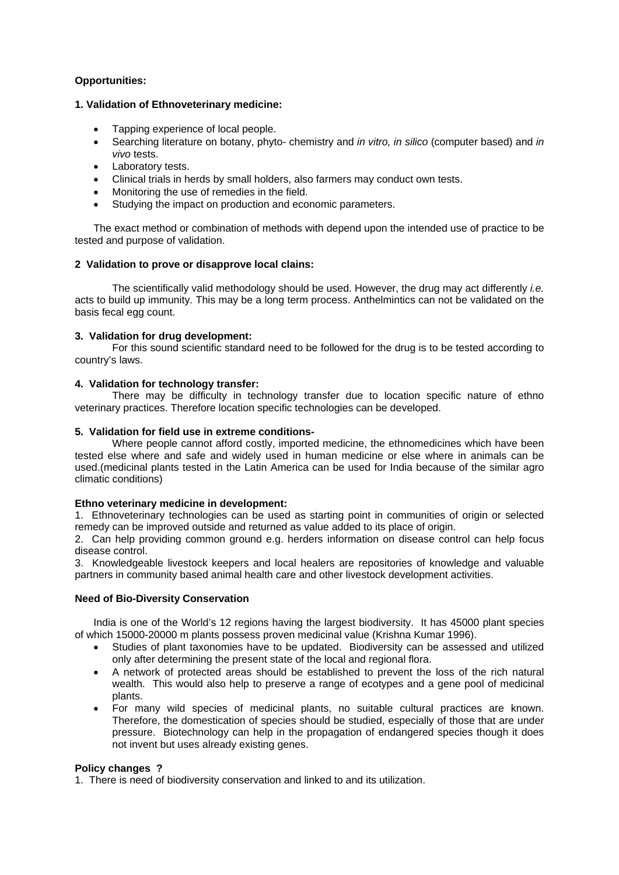# **Opportunities:**

# **1. Validation of Ethnoveterinary medicine:**

- Tapping experience of local people.
- Searching literature on botany, phyto- chemistry and *in vitro, in silico* (computer based) and *in vivo* tests.
- Laboratory tests.
- Clinical trials in herds by small holders, also farmers may conduct own tests.
- Monitoring the use of remedies in the field.
- Studying the impact on production and economic parameters.

The exact method or combination of methods with depend upon the intended use of practice to be tested and purpose of validation.

### **2 Validation to prove or disapprove local clains:**

The scientifically valid methodology should be used. However, the drug may act differently *i.e.* acts to build up immunity. This may be a long term process. Anthelmintics can not be validated on the basis fecal egg count.

### **3. Validation for drug development:**

For this sound scientific standard need to be followed for the drug is to be tested according to country's laws.

### **4. Validation for technology transfer:**

There may be difficulty in technology transfer due to location specific nature of ethno veterinary practices. Therefore location specific technologies can be developed.

#### **5. Validation for field use in extreme conditions-**

Where people cannot afford costly, imported medicine, the ethnomedicines which have been tested else where and safe and widely used in human medicine or else where in animals can be used.(medicinal plants tested in the Latin America can be used for India because of the similar agro climatic conditions)

#### **Ethno veterinary medicine in development:**

1. Ethnoveterinary technologies can be used as starting point in communities of origin or selected remedy can be improved outside and returned as value added to its place of origin.

2. Can help providing common ground e.g. herders information on disease control can help focus disease control.

3. Knowledgeable livestock keepers and local healers are repositories of knowledge and valuable partners in community based animal health care and other livestock development activities.

# **Need of Bio-Diversity Conservation**

India is one of the World's 12 regions having the largest biodiversity. It has 45000 plant species of which 15000-20000 m plants possess proven medicinal value (Krishna Kumar 1996).

- Studies of plant taxonomies have to be updated. Biodiversity can be assessed and utilized only after determining the present state of the local and regional flora.
- A network of protected areas should be established to prevent the loss of the rich natural wealth. This would also help to preserve a range of ecotypes and a gene pool of medicinal plants.
- For many wild species of medicinal plants, no suitable cultural practices are known. Therefore, the domestication of species should be studied, especially of those that are under pressure. Biotechnology can help in the propagation of endangered species though it does not invent but uses already existing genes.

#### **Policy changes ?**

1. There is need of biodiversity conservation and linked to and its utilization.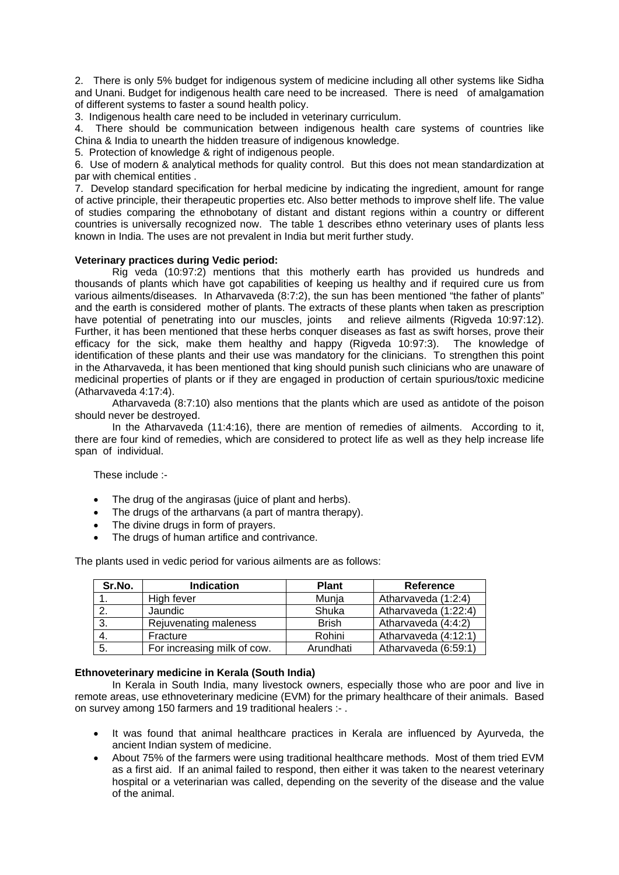2. There is only 5% budget for indigenous system of medicine including all other systems like Sidha and Unani. Budget for indigenous health care need to be increased. There is need of amalgamation of different systems to faster a sound health policy.

3. Indigenous health care need to be included in veterinary curriculum.

4. There should be communication between indigenous health care systems of countries like China & India to unearth the hidden treasure of indigenous knowledge.

5. Protection of knowledge & right of indigenous people.

6. Use of modern & analytical methods for quality control. But this does not mean standardization at par with chemical entities .

7. Develop standard specification for herbal medicine by indicating the ingredient, amount for range of active principle, their therapeutic properties etc. Also better methods to improve shelf life. The value of studies comparing the ethnobotany of distant and distant regions within a country or different countries is universally recognized now. The table 1 describes ethno veterinary uses of plants less known in India. The uses are not prevalent in India but merit further study.

### **Veterinary practices during Vedic period:**

Rig veda (10:97:2) mentions that this motherly earth has provided us hundreds and thousands of plants which have got capabilities of keeping us healthy and if required cure us from various ailments/diseases. In Atharvaveda (8:7:2), the sun has been mentioned "the father of plants" and the earth is considered mother of plants. The extracts of these plants when taken as prescription have potential of penetrating into our muscles, joints and relieve ailments (Rigveda 10:97:12). Further, it has been mentioned that these herbs conquer diseases as fast as swift horses, prove their efficacy for the sick, make them healthy and happy (Rigveda 10:97:3). The knowledge of identification of these plants and their use was mandatory for the clinicians. To strengthen this point in the Atharvaveda, it has been mentioned that king should punish such clinicians who are unaware of medicinal properties of plants or if they are engaged in production of certain spurious/toxic medicine (Atharvaveda 4:17:4).

Atharvaveda (8:7:10) also mentions that the plants which are used as antidote of the poison should never be destroyed.

In the Atharvaveda (11:4:16), there are mention of remedies of ailments. According to it, there are four kind of remedies, which are considered to protect life as well as they help increase life span of individual.

These include :-

- The drug of the angirasas (juice of plant and herbs).
- The drugs of the artharvans (a part of mantra therapy).
- The divine drugs in form of prayers.
- The drugs of human artifice and contrivance.

| Sr.No. | <b>Indication</b>           | <b>Plant</b> | <b>Reference</b>     |
|--------|-----------------------------|--------------|----------------------|
|        | High fever                  | Munja        | Atharvaveda (1:2:4)  |
| 2.     | Jaundic                     | Shuka        | Atharvaveda (1:22:4) |
| 3.     | Rejuvenating maleness       | <b>Brish</b> | Atharvaveda (4:4:2)  |
|        | Fracture                    | Rohini       | Atharvaveda (4:12:1) |
| -5.    | For increasing milk of cow. | Arundhati    | Atharvaveda (6:59:1) |

The plants used in vedic period for various ailments are as follows:

#### **Ethnoveterinary medicine in Kerala (South India)**

In Kerala in South India, many livestock owners, especially those who are poor and live in remote areas, use ethnoveterinary medicine (EVM) for the primary healthcare of their animals. Based on survey among 150 farmers and 19 traditional healers :- .

- It was found that animal healthcare practices in Kerala are influenced by Ayurveda, the ancient Indian system of medicine.
- About 75% of the farmers were using traditional healthcare methods. Most of them tried EVM as a first aid. If an animal failed to respond, then either it was taken to the nearest veterinary hospital or a veterinarian was called, depending on the severity of the disease and the value of the animal.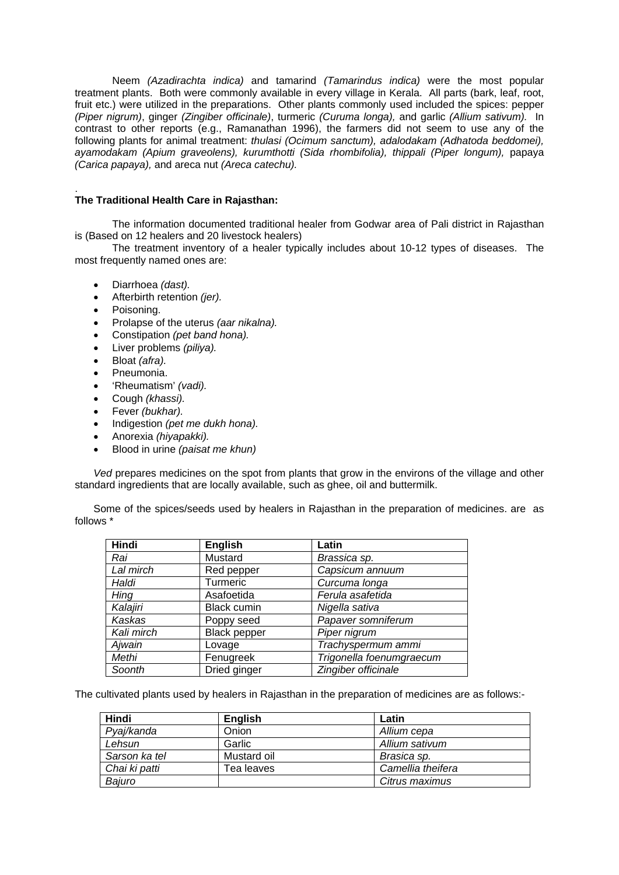Neem *(Azadirachta indica)* and tamarind *(Tamarindus indica)* were the most popular treatment plants. Both were commonly available in every village in Kerala. All parts (bark, leaf, root, fruit etc.) were utilized in the preparations. Other plants commonly used included the spices: pepper *(Piper nigrum)*, ginger *(Zingiber officinale)*, turmeric *(Curuma longa),* and garlic *(Allium sativum).* In contrast to other reports (e.g., Ramanathan 1996), the farmers did not seem to use any of the following plants for animal treatment: *thulasi (Ocimum sanctum), adalodakam (Adhatoda beddomei), ayamodakam (Apium graveolens), kurumthotti (Sida rhombifolia), thippali (Piper longum),* papaya *(Carica papaya),* and areca nut *(Areca catechu).*

#### . **The Traditional Health Care in Rajasthan:**

The information documented traditional healer from Godwar area of Pali district in Rajasthan is (Based on 12 healers and 20 livestock healers)

The treatment inventory of a healer typically includes about 10-12 types of diseases. The most frequently named ones are:

- Diarrhoea *(dast).*
- Afterbirth retention *(jer).*
- Poisoning.
- Prolapse of the uterus *(aar nikalna).*
- Constipation *(pet band hona).*
- Liver problems *(piliya).*
- Bloat *(afra).*
- Pneumonia.
- 'Rheumatism' *(vadi).*
- Cough *(khassi).*
- Fever *(bukhar).*
- Indigestion *(pet me dukh hona).*
- Anorexia *(hiyapakki).*
- Blood in urine *(paisat me khun)*

*Ved* prepares medicines on the spot from plants that grow in the environs of the village and other standard ingredients that are locally available, such as ghee, oil and buttermilk.

Some of the spices/seeds used by healers in Rajasthan in the preparation of medicines. are as follows \*

| Hindi         | <b>English</b>      | Latin                    |
|---------------|---------------------|--------------------------|
| Rai           | Mustard             | Brassica sp.             |
| Lal mirch     | Red pepper          | Capsicum annuum          |
| Haldi         | Turmeric            | Curcuma longa            |
| Hing          | Asafoetida          | Ferula asafetida         |
| Kalajiri      | <b>Black cumin</b>  | Nigella sativa           |
| <b>Kaskas</b> | Poppy seed          | Papaver somniferum       |
| Kali mirch    | <b>Black pepper</b> | Piper nigrum             |
| Ajwain        | Lovage              | Trachyspermum ammi       |
| Methi         | Fenugreek           | Trigonella foenumgraecum |
| Soonth        | Dried ginger        | Zingiber officinale      |

The cultivated plants used by healers in Rajasthan in the preparation of medicines are as follows:-

| Hindi         | <b>English</b> | Latin             |
|---------------|----------------|-------------------|
| Pyaj/kanda    | Onion          | Allium cepa       |
| Lehsun        | Garlic         | Allium sativum    |
| Sarson ka tel | Mustard oil    | Brasica sp.       |
| Chai ki patti | Tea leaves     | Camellia theifera |
| Bajuro        |                | Citrus maximus    |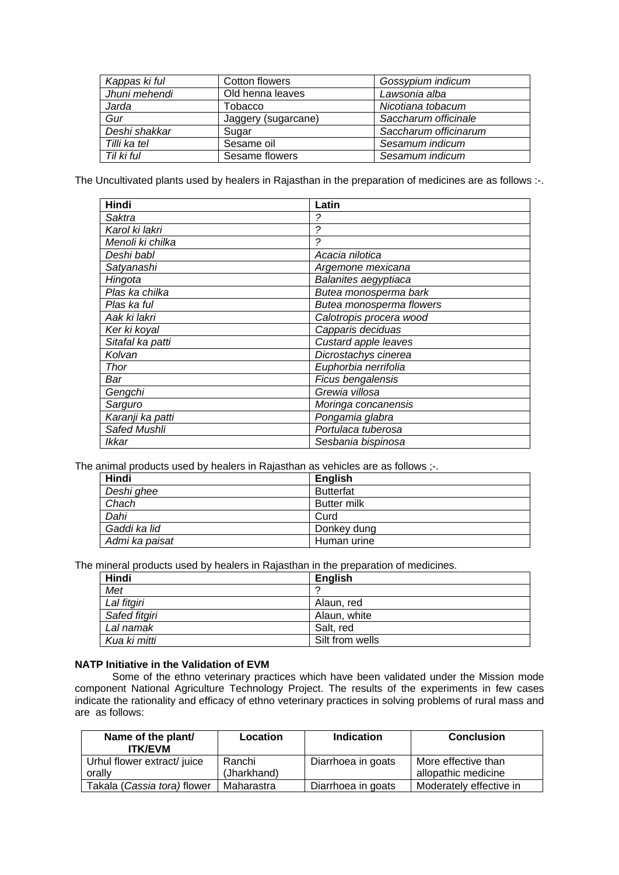| Kappas ki ful | Cotton flowers      | Gossypium indicum     |
|---------------|---------------------|-----------------------|
| Jhuni mehendi | Old henna leaves    | Lawsonia alba         |
| Jarda         | Tobacco             | Nicotiana tobacum     |
| Gur           | Jaggery (sugarcane) | Saccharum officinale  |
| Deshi shakkar | Sugar               | Saccharum officinarum |
| Tilli ka tel  | Sesame oil          | Sesamum indicum       |
| Til ki ful    | Sesame flowers      | Sesamum indicum       |

The Uncultivated plants used by healers in Rajasthan in the preparation of medicines are as follows :-.

| Hindi            | Latin                    |
|------------------|--------------------------|
| Saktra           | ?                        |
| Karol ki lakri   | 2                        |
| Menoli ki chilka | 2                        |
| Deshi babl       | Acacia nilotica          |
| Satyanashi       | Argemone mexicana        |
| Hingota          | Balanites aegyptiaca     |
| Plas ka chilka   | Butea monosperma bark    |
| Plas ka ful      | Butea monosperma flowers |
| Aak ki lakri     | Calotropis procera wood  |
| Ker ki koyal     | Capparis deciduas        |
| Sitafal ka patti | Custard apple leaves     |
| Kolvan           | Dicrostachys cinerea     |
| Thor             | Euphorbia nerrifolia     |
| Bar              | Ficus bengalensis        |
| Gengchi          | Grewia villosa           |
| Sarguro          | Moringa concanensis      |
| Karanji ka patti | Pongamia glabra          |
| Safed Mushli     | Portulaca tuberosa       |
| Ikkar            | Sesbania bispinosa       |

The animal products used by healers in Rajasthan as vehicles are as follows :-.

| Hindi          | <b>English</b>     |
|----------------|--------------------|
| Deshi ghee     | <b>Butterfat</b>   |
| Chach          | <b>Butter milk</b> |
| Dahi           | Curd               |
| Gaddi ka lid   | Donkey dung        |
| Admi ka paisat | Human urine        |

The mineral products used by healers in Rajasthan in the preparation of medicines.

| Hindi         | <b>English</b>  |
|---------------|-----------------|
| Met           |                 |
| Lal fitgiri   | Alaun, red      |
| Safed fitgiri | Alaun, white    |
| Lal namak     | Salt, red       |
| Kua ki mitti  | Silt from wells |

# **NATP Initiative in the Validation of EVM**

Some of the ethno veterinary practices which have been validated under the Mission mode component National Agriculture Technology Project. The results of the experiments in few cases indicate the rationality and efficacy of ethno veterinary practices in solving problems of rural mass and are as follows:

| Name of the plant/<br><b>ITK/EVM</b>  | Location              | <b>Indication</b>  | <b>Conclusion</b>                          |
|---------------------------------------|-----------------------|--------------------|--------------------------------------------|
| Urhul flower extract/ juice<br>orally | Ranchi<br>(Jharkhand) | Diarrhoea in goats | More effective than<br>allopathic medicine |
|                                       |                       |                    |                                            |
| Takala ( <i>Cassia tora</i> ) flower  | Maharastra            | Diarrhoea in goats | Moderately effective in                    |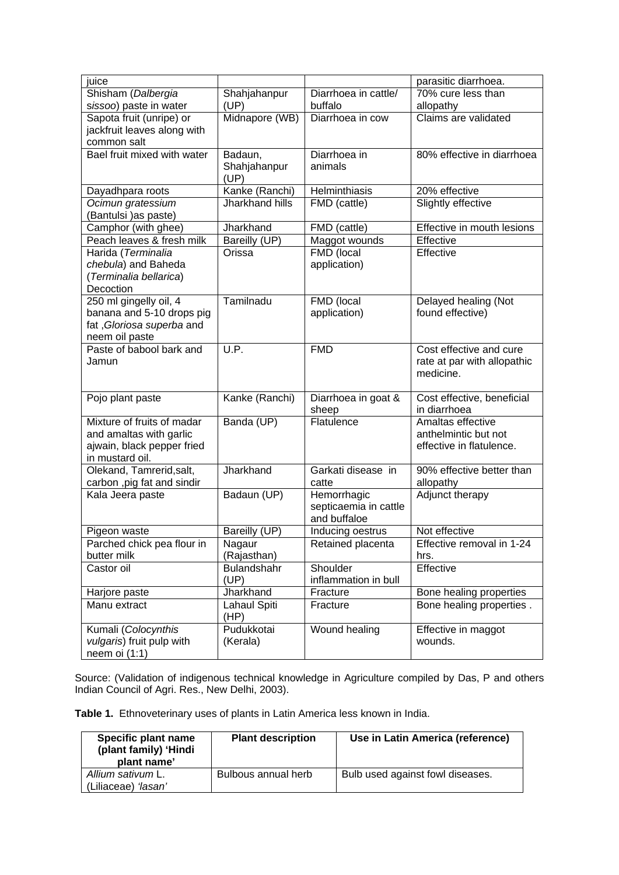| juice                       |                    |                       | parasitic diarrhoea.             |
|-----------------------------|--------------------|-----------------------|----------------------------------|
| Shisham (Dalbergia          | Shahjahanpur       | Diarrhoea in cattle/  | $\overline{70\%}$ cure less than |
| sissoo) paste in water      | (UP)               | buffalo               | allopathy                        |
| Sapota fruit (unripe) or    | Midnapore (WB)     | Diarrhoea in cow      | Claims are validated             |
| jackfruit leaves along with |                    |                       |                                  |
| common salt                 |                    |                       |                                  |
| Bael fruit mixed with water | Badaun,            | Diarrhoea in          | 80% effective in diarrhoea       |
|                             | Shahjahanpur       | animals               |                                  |
|                             | (UP)               |                       |                                  |
| Dayadhpara roots            | Kanke (Ranchi)     | Helminthiasis         | 20% effective                    |
| Ocimun gratessium           | Jharkhand hills    | FMD (cattle)          | Slightly effective               |
| (Bantulsi) as paste)        |                    |                       |                                  |
| Camphor (with ghee)         | Jharkhand          | FMD (cattle)          | Effective in mouth lesions       |
| Peach leaves & fresh milk   | Bareilly (UP)      | Maggot wounds         | Effective                        |
| Harida (Terminalia          | Orissa             | <b>FMD</b> (local     | Effective                        |
| chebula) and Baheda         |                    | application)          |                                  |
| (Terminalia bellarica)      |                    |                       |                                  |
| Decoction                   |                    |                       |                                  |
| 250 ml gingelly oil, 4      | Tamilnadu          | FMD (local            | Delayed healing (Not             |
| banana and 5-10 drops pig   |                    | application)          | found effective)                 |
| fat, Gloriosa superba and   |                    |                       |                                  |
| neem oil paste              |                    |                       |                                  |
| Paste of babool bark and    | U.P.               | <b>FMD</b>            | Cost effective and cure          |
| Jamun                       |                    |                       | rate at par with allopathic      |
|                             |                    |                       | medicine.                        |
|                             |                    |                       |                                  |
| Pojo plant paste            | Kanke (Ranchi)     | Diarrhoea in goat &   | Cost effective, beneficial       |
|                             |                    | sheep                 | in diarrhoea                     |
| Mixture of fruits of madar  | Banda (UP)         | Flatulence            | Amaltas effective                |
| and amaltas with garlic     |                    |                       | anthelmintic but not             |
| ajwain, black pepper fried  |                    |                       | effective in flatulence.         |
| in mustard oil.             |                    |                       |                                  |
| Olekand, Tamrerid, salt,    | Jharkhand          | Garkati disease in    | 90% effective better than        |
| carbon, pig fat and sindir  |                    | catte                 | allopathy                        |
| Kala Jeera paste            | Badaun (UP)        | Hemorrhagic           | Adjunct therapy                  |
|                             |                    | septicaemia in cattle |                                  |
|                             |                    | and buffaloe          |                                  |
| Pigeon waste                | Bareilly (UP)      | Inducing oestrus      | Not effective                    |
| Parched chick pea flour in  | Nagaur             | Retained placenta     | Effective removal in 1-24        |
| butter milk                 | (Rajasthan)        |                       | hrs.                             |
| Castor oil                  | <b>Bulandshahr</b> | Shoulder              | Effective                        |
|                             | (UP)               | inflammation in bull  |                                  |
| Harjore paste               | Jharkhand          | Fracture              | Bone healing properties          |
| Manu extract                | Lahaul Spiti       | Fracture              | Bone healing properties.         |
|                             | (HP)               |                       |                                  |
| Kumali (Colocynthis         | Pudukkotai         | Wound healing         | Effective in maggot              |
| vulgaris) fruit pulp with   | (Kerala)           |                       | wounds.                          |
| neem oi (1:1)               |                    |                       |                                  |

Source: (Validation of indigenous technical knowledge in Agriculture compiled by Das, P and others Indian Council of Agri. Res., New Delhi, 2003).

**Table 1.** Ethnoveterinary uses of plants in Latin America less known in India.

| Specific plant name<br>(plant family) 'Hindi<br>plant name' | <b>Plant description</b> | Use in Latin America (reference) |
|-------------------------------------------------------------|--------------------------|----------------------------------|
| Allium sativum L.<br>(Liliaceae) 'lasan'                    | Bulbous annual herb      | Bulb used against fowl diseases. |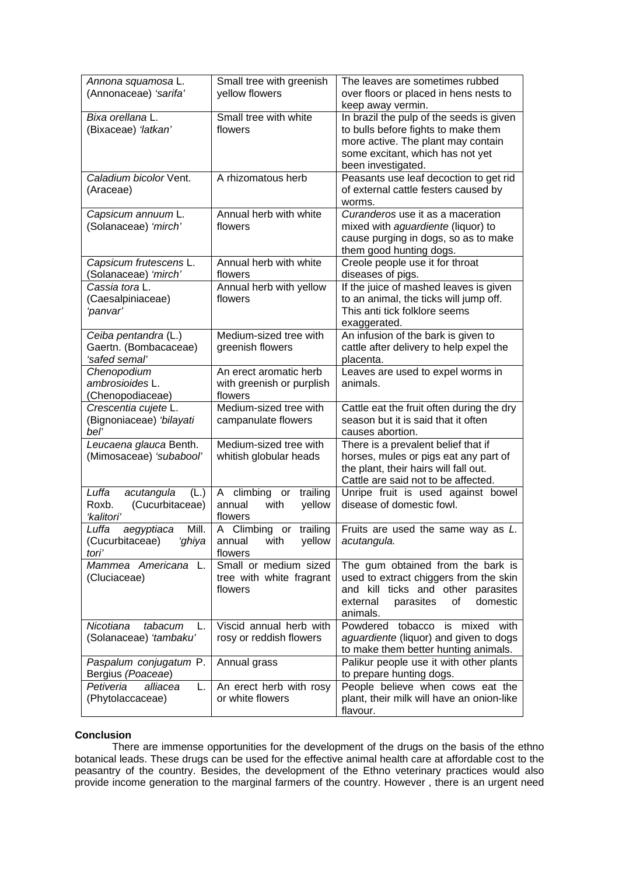| Annona squamosa L.                        | Small tree with greenish          | The leaves are sometimes rubbed                             |
|-------------------------------------------|-----------------------------------|-------------------------------------------------------------|
| (Annonaceae) 'sarifa'                     | yellow flowers                    | over floors or placed in hens nests to                      |
|                                           |                                   | keep away vermin.                                           |
| Small tree with white<br>Bixa orellana L. |                                   | In brazil the pulp of the seeds is given                    |
| (Bixaceae) 'latkan'                       | flowers                           | to bulls before fights to make them                         |
|                                           |                                   | more active. The plant may contain                          |
|                                           |                                   | some excitant, which has not yet                            |
|                                           |                                   | been investigated.                                          |
| Caladium bicolor Vent.                    | A rhizomatous herb                | Peasants use leaf decoction to get rid                      |
| (Araceae)                                 |                                   | of external cattle festers caused by                        |
|                                           |                                   | worms.                                                      |
| Capsicum annuum L.                        | Annual herb with white            | Curanderos use it as a maceration                           |
| (Solanaceae) 'mirch'                      | flowers                           | mixed with aguardiente (liquor) to                          |
|                                           |                                   | cause purging in dogs, so as to make                        |
|                                           | Annual herb with white            | them good hunting dogs.                                     |
| Capsicum frutescens L.                    | flowers                           | Creole people use it for throat                             |
| (Solanaceae) 'mirch'<br>Cassia tora L.    | Annual herb with yellow           | diseases of pigs.<br>If the juice of mashed leaves is given |
| (Caesalpiniaceae)                         | flowers                           | to an animal, the ticks will jump off.                      |
| 'panvar'                                  |                                   | This anti tick folklore seems                               |
|                                           |                                   | exaggerated.                                                |
| Ceiba pentandra (L.)                      | Medium-sized tree with            | An infusion of the bark is given to                         |
| Gaertn. (Bombacaceae)                     | greenish flowers                  | cattle after delivery to help expel the                     |
| 'safed semal'                             |                                   | placenta.                                                   |
| Chenopodium                               | An erect aromatic herb            | Leaves are used to expel worms in                           |
| ambrosioides L.                           | with greenish or purplish         | animals.                                                    |
| (Chenopodiaceae)                          | flowers                           |                                                             |
| Crescentia cujete L.                      | Medium-sized tree with            | Cattle eat the fruit often during the dry                   |
| (Bignoniaceae) 'bilayati                  | campanulate flowers               | season but it is said that it often                         |
| bel'                                      |                                   | causes abortion.                                            |
| Leucaena glauca Benth.                    | Medium-sized tree with            | There is a prevalent belief that if                         |
| (Mimosaceae) 'subabool'                   | whitish globular heads            | horses, mules or pigs eat any part of                       |
|                                           |                                   | the plant, their hairs will fall out.                       |
|                                           |                                   | Cattle are said not to be affected.                         |
| Luffa<br>acutangula<br>(L.)               | trailing<br>A climbing or         | Unripe fruit is used against bowel                          |
| (Cucurbitaceae)<br>Roxb.<br>'kalitori'    | with<br>yellow<br>annual          | disease of domestic fowl.                                   |
| Mill.<br>Luffa<br>aegyptiaca              | flowers<br>A Climbing or trailing | Fruits are used the same way as L.                          |
| (Cucurbitaceae)<br>ʻghiya                 | annual<br>with<br>yellow          | acutangula.                                                 |
| tori'                                     | flowers                           |                                                             |
| Mammea Americana L.                       | Small or medium sized             | The gum obtained from the bark is                           |
| (Cluciaceae)                              | tree with white fragrant          | used to extract chiggers from the skin                      |
|                                           | flowers                           | and kill ticks and other parasites                          |
|                                           |                                   | parasites<br>domestic<br>external<br>of                     |
|                                           |                                   | animals.                                                    |
| Nicotiana<br>tabacum<br>L.                | Viscid annual herb with           | Powdered tobacco is mixed with                              |
| (Solanaceae) 'tambaku'                    | rosy or reddish flowers           | aguardiente (liquor) and given to dogs                      |
|                                           |                                   | to make them better hunting animals.                        |
| Paspalum conjugatum P.                    | Annual grass                      | Palikur people use it with other plants                     |
| Bergius (Poaceae)                         |                                   | to prepare hunting dogs.                                    |
| Petiveria<br>alliacea<br>L.               | An erect herb with rosy           | People believe when cows eat the                            |
| (Phytolaccaceae)                          | or white flowers                  | plant, their milk will have an onion-like                   |
|                                           |                                   | flavour.                                                    |

# **Conclusion**

 There are immense opportunities for the development of the drugs on the basis of the ethno botanical leads. These drugs can be used for the effective animal health care at affordable cost to the peasantry of the country. Besides, the development of the Ethno veterinary practices would also provide income generation to the marginal farmers of the country. However , there is an urgent need